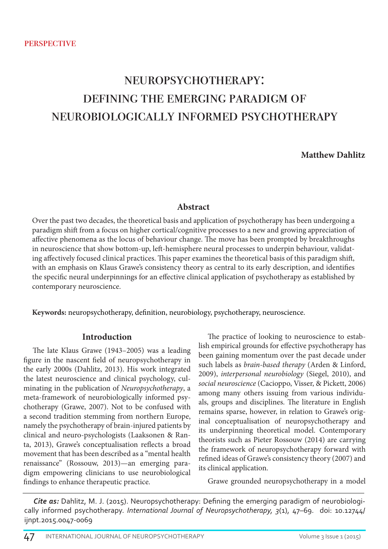# neuropsychotherapy: defining the emerging paradigm of neurobiologically informed psychotherapy

# **Matthew Dahlitz**

# **Abstract**

Over the past two decades, the theoretical basis and application of psychotherapy has been undergoing a paradigm shift from a focus on higher cortical/cognitive processes to a new and growing appreciation of affective phenomena as the locus of behaviour change. The move has been prompted by breakthroughs in neuroscience that show bottom-up, left-hemisphere neural processes to underpin behaviour, validating affectively focused clinical practices. This paper examines the theoretical basis of this paradigm shift, with an emphasis on Klaus Grawe's consistency theory as central to its early description, and identifies the specific neural underpinnings for an effective clinical application of psychotherapy as established by contemporary neuroscience.

**Keywords:** neuropsychotherapy, definition, neurobiology, psychotherapy, neuroscience.

#### **Introduction**

The late Klaus Grawe (1943–2005) was a leading figure in the nascent field of neuropsychotherapy in the early 2000s (Dahlitz, 2013). His work integrated the latest neuroscience and clinical psychology, culminating in the publication of *Neuropsychotherapy*, a meta-framework of neurobiologically informed psychotherapy (Grawe, 2007). Not to be confused with a second tradition stemming from northern Europe, namely the psychotherapy of brain-injured patients by clinical and neuro-psychologists (Laaksonen & Ranta, 2013), Grawe's conceptualisation reflects a broad movement that has been described as a "mental health renaissance" (Rossouw, 2013)—an emerging paradigm empowering clinicians to use neurobiological findings to enhance therapeutic practice.

The practice of looking to neuroscience to establish empirical grounds for effective psychotherapy has been gaining momentum over the past decade under such labels as *brain-based therapy* (Arden & Linford, 2009), *interpersonal neurobiology* (Siegel, 2010), and *social neuroscience* (Cacioppo, Visser, & Pickett, 2006) among many others issuing from various individuals, groups and disciplines. The literature in English remains sparse, however, in relation to Grawe's original conceptualisation of neuropsychotherapy and its underpinning theoretical model. Contemporary theorists such as Pieter Rossouw (2014) are carrying the framework of neuropsychotherapy forward with refined ideas of Grawe's consistency theory (2007) and its clinical application.

Grawe grounded neuropsychotherapy in a model

*Cite as:* Dahlitz, M. J. (2015). Neuropsychotherapy: Defining the emerging paradigm of neurobiologically informed psychotherapy. *International Journal of Neuropsychotherapy, 3*(1), 47–69. doi: 10.12744/ ijnpt.2015.0047-0069

47 INTERNATIONAL JOURNAL OF NEUROPSYCHOTHERAPY VOLUME 3 Issue 1 (2015)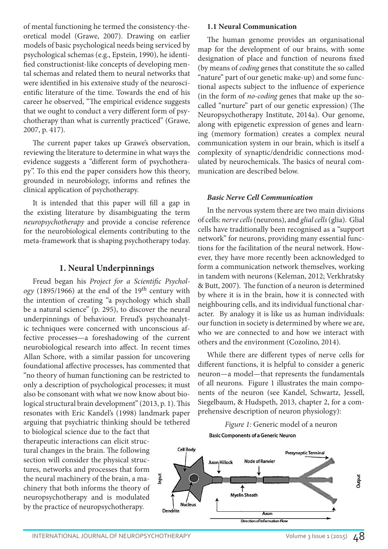of mental functioning he termed the consistency-theoretical model (Grawe, 2007). Drawing on earlier models of basic psychological needs being serviced by psychological schemas (e.g., Epstein, 1990), he identified constructionist-like concepts of developing mental schemas and related them to neural networks that were identified in his extensive study of the neuroscientific literature of the time. Towards the end of his career he observed, "The empirical evidence suggests that we ought to conduct a very different form of psychotherapy than what is currently practiced" (Grawe, 2007, p. 417).

The current paper takes up Grawe's observation, reviewing the literature to determine in what ways the evidence suggests a "different form of psychotherapy". To this end the paper considers how this theory, grounded in neurobiology, informs and refines the clinical application of psychotherapy.

It is intended that this paper will fill a gap in the existing literature by disambiguating the term *neuropsychotherapy* and provide a concise reference for the neurobiological elements contributing to the meta-framework that is shaping psychotherapy today.

## **1. Neural Underpinnings**

Freud began his *Project for a Scientific Psychology* (1895/1966) at the end of the 19<sup>th</sup> century with the intention of creating "a psychology which shall be a natural science" (p. 295), to discover the neural underpinnings of behaviour. Freud's psychoanalytic techniques were concerned with unconscious affective processes—a foreshadowing of the current neurobiological research into affect. In recent times Allan Schore, with a similar passion for uncovering foundational affective processes, has commented that "no theory of human functioning can be restricted to only a description of psychological processes; it must also be consonant with what we now know about biological structural brain development" (2013, p. 1). This resonates with Eric Kandel's (1998) landmark paper arguing that psychiatric thinking should be tethered

to biological science due to the fact that therapeutic interactions can elicit structural changes in the brain. The following section will consider the physical structures, networks and processes that form the neural machinery of the brain, a machinery that both informs the theory of neuropsychotherapy and is modulated by the practice of neuropsychotherapy.

#### **1.1 Neural Communication**

The human genome provides an organisational map for the development of our brains, with some designation of place and function of neurons fixed (by means of *coding* genes that constitute the so called "nature" part of our genetic make-up) and some functional aspects subject to the influence of experience (in the form of *no-coding* genes that make up the socalled "nurture" part of our genetic expression) (The Neuropsychotherapy Institute, 2014a). Our genome, along with epigenetic expression of genes and learning (memory formation) creates a complex neural communication system in our brain, which is itself a complexity of synaptic/dendridic connections modulated by neurochemicals. The basics of neural communication are described below.

#### *Basic Nerve Cell Communication*

In the nervous system there are two main divisions of cells: *nerve cells* (neurons), and *glial cells* (glia). Glial cells have traditionally been recognised as a "support network" for neurons, providing many essential functions for the facilitation of the neural network. However, they have more recently been acknowledged to form a communication network themselves, working in tandem with neurons (Keleman, 2012; Verkhratsky & Butt, 2007). The function of a neuron is determined by where it is in the brain, how it is connected with neighbouring cells, and its individual functional character. By analogy it is like us as human individuals: our function in society is determined by where we are, who we are connected to and how we interact with others and the environment (Cozolino, 2014).

While there are different types of nerve cells for different functions, it is helpful to consider a generic neuron—a model—that represents the fundamentals of all neurons. Figure 1 illustrates the main components of the neuron (see Kandel, Schwartz, Jessell, Siegelbaum, & Hudspeth, 2013, chapter 2, for a comprehensive description of neuron physiology):

*Figure 1:* Generic model of a neuron**Basic Components of a Generic Neuron** 

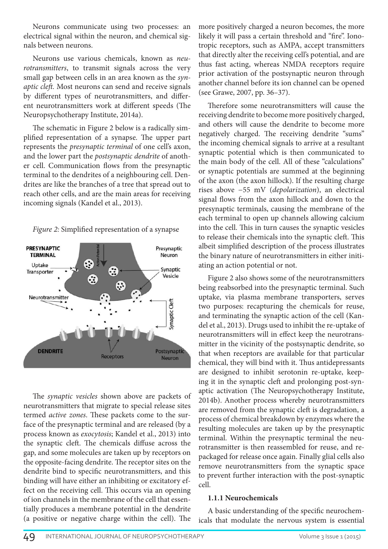Neurons communicate using two processes: an electrical signal within the neuron, and chemical signals between neurons.

Neurons use various chemicals, known as *neurotransmitters*, to transmit signals across the very small gap between cells in an area known as the *synaptic cleft.* Most neurons can send and receive signals by different types of neurotransmitters, and different neurotransmitters work at different speeds (The Neuropsychotherapy Institute, 2014a).

The schematic in Figure 2 below is a radically simplified representation of a synapse. The upper part represents the *presynaptic terminal* of one cell's axon, and the lower part the *postsynaptic dendrite* of another cell. Communication flows from the presynaptic terminal to the dendrites of a neighbouring cell. Dendrites are like the branches of a tree that spread out to reach other cells, and are the main areas for receiving incoming signals (Kandel et al., 2013).





The *synaptic vesicles* shown above are packets of neurotransmitters that migrate to special release sites termed *active zones*. These packets come to the surface of the presynaptic terminal and are released (by a process known as *exocytosis*; Kandel et al., 2013) into the synaptic cleft. The chemicals diffuse across the gap, and some molecules are taken up by receptors on the opposite-facing dendrite. The receptor sites on the dendrite bind to specific neurotransmitters, and this binding will have either an inhibiting or excitatory effect on the receiving cell. This occurs via an opening of ion channels in the membrane of the cell that essentially produces a membrane potential in the dendrite (a positive or negative charge within the cell). The

more positively charged a neuron becomes, the more likely it will pass a certain threshold and "fire". Ionotropic receptors, such as AMPA, accept transmitters that directly alter the receiving cell's potential, and are thus fast acting, whereas NMDA receptors require prior activation of the postsynaptic neuron through another channel before its ion channel can be opened (see Grawe, 2007, pp. 36–37).

Therefore some neurotransmitters will cause the receiving dendrite to become more positively charged, and others will cause the dendrite to become more negatively charged. The receiving dendrite "sums" the incoming chemical signals to arrive at a resultant synaptic potential which is then communicated to the main body of the cell. All of these "calculations" or synaptic potentials are summed at the beginning of the axon (the axon hillock). If the resulting charge rises above −55 mV (*depolarization*), an electrical signal flows from the axon hillock and down to the presynaptic terminals, causing the membrane of the each terminal to open up channels allowing calcium into the cell. This in turn causes the synaptic vesicles to release their chemicals into the synaptic cleft. This albeit simplified description of the process illustrates the binary nature of neurotransmitters in either initiating an action potential or not.

Figure 2 also shows some of the neurotransmitters being reabsorbed into the presynaptic terminal. Such uptake, via plasma membrane transporters, serves two purposes: recapturing the chemicals for reuse, and terminating the synaptic action of the cell (Kandel et al., 2013). Drugs used to inhibit the re-uptake of neurotransmitters will in effect keep the neurotransmitter in the vicinity of the postsynaptic dendrite, so that when receptors are available for that particular chemical, they will bind with it. Thus antidepressants are designed to inhibit serotonin re-uptake, keeping it in the synaptic cleft and prolonging post-synaptic activation (The Neuropsychotherapy Institute, 2014b). Another process whereby neurotransmitters are removed from the synaptic cleft is degradation, a process of chemical breakdown by enzymes where the resulting molecules are taken up by the presynaptic terminal. Within the presynaptic terminal the neurotransmitter is then reassembled for reuse, and repackaged for release once again. Finally glial cells also remove neurotransmitters from the synaptic space to prevent further interaction with the post-synaptic cell.

#### **1.1.1 Neurochemicals**

A basic understanding of the specific neurochemicals that modulate the nervous system is essential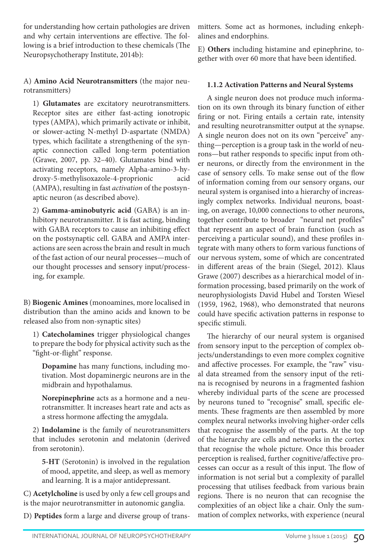for understanding how certain pathologies are driven and why certain interventions are effective. The following is a brief introduction to these chemicals (The Neuropsychotherapy Institute, 2014b):

A) **Amino Acid Neurotransmitters** (the major neurotransmitters)

1) **Glutamates** are excitatory neurotransmitters. Receptor sites are either fast-acting ionotropic types (AMPA), which primarily activate or inhibit, or slower-acting N-methyl D-aspartate (NMDA) types, which facilitate a strengthening of the synaptic connection called long-term potentiation (Grawe, 2007, pp. 32–40). Glutamates bind with activating receptors, namely Alpha-amino-3-hydroxy-5-methylisoxazole-4-proprionic acid (AMPA), resulting in fast *activation* of the postsynaptic neuron (as described above).

2) **Gamma-aminobutyric acid** (GABA) is an inhibitory neurotransmitter. It is fast acting, binding with GABA receptors to cause an inhibiting effect on the postsynaptic cell. GABA and AMPA interactions are seen across the brain and result in much of the fast action of our neural processes—much of our thought processes and sensory input/processing, for example.

B) **Biogenic Amines** (monoamines, more localised in distribution than the amino acids and known to be released also from non-synaptic sites)

1) **Catecholamines** trigger physiological changes to prepare the body for physical activity such as the "fight-or-flight" response.

**Dopamine** has many functions, including motivation. Most dopaminergic neurons are in the midbrain and hypothalamus.

**Norepinephrine** acts as a hormone and a neurotransmitter. It increases heart rate and acts as a stress hormone affecting the amygdala.

2) **Indolamine** is the family of neurotransmitters that includes serotonin and melatonin (derived from serotonin).

**5-HT** (Serotonin) is involved in the regulation of mood, appetite, and sleep, as well as memory and learning. It is a major antidepressant.

C) **Acetylcholine** is used by only a few cell groups and is the major neurotransmitter in autonomic ganglia.

D) **Peptides** form a large and diverse group of trans-

mitters. Some act as hormones, including enkephalines and endorphins.

E) **Others** including histamine and epinephrine, together with over 60 more that have been identified.

## **1.1.2 Activation Patterns and Neural Systems**

A single neuron does not produce much information on its own through its binary function of either firing or not. Firing entails a certain rate, intensity and resulting neurotransmitter output at the synapse. A single neuron does not on its own "perceive" anything—perception is a group task in the world of neurons—but rather responds to specific input from other neurons, or directly from the environment in the case of sensory cells. To make sense out of the flow of information coming from our sensory organs, our neural system is organised into a hierarchy of increasingly complex networks. Individual neurons, boasting, on average, 10,000 connections to other neurons, together contribute to broader "neural net profiles" that represent an aspect of brain function (such as perceiving a particular sound), and these profiles integrate with many others to form various functions of our nervous system, some of which are concentrated in different areas of the brain (Siegel, 2012). Klaus Grawe (2007) describes as a hierarchical model of information processing, based primarily on the work of neurophysiologists David Hubel and Torsten Wiesel (1959, 1962, 1968), who demonstrated that neurons could have specific activation patterns in response to specific stimuli.

The hierarchy of our neural system is organised from sensory input to the perception of complex objects/understandings to even more complex cognitive and affective processes. For example, the "raw" visual data streamed from the sensory input of the retina is recognised by neurons in a fragmented fashion whereby individual parts of the scene are processed by neurons tuned to "recognise" small, specific elements. These fragments are then assembled by more complex neural networks involving higher-order cells that recognise the assembly of the parts. At the top of the hierarchy are cells and networks in the cortex that recognise the whole picture. Once this broader perception is realised, further cognitive/affective processes can occur as a result of this input. The flow of information is not serial but a complexity of parallel processing that utilises feedback from various brain regions. There is no neuron that can recognise the complexities of an object like a chair. Only the summation of complex networks, with experience (neural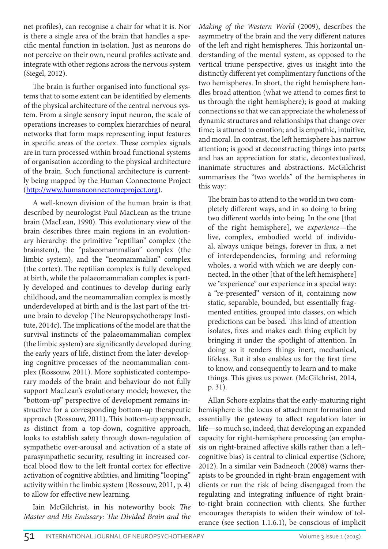net profiles), can recognise a chair for what it is. Nor is there a single area of the brain that handles a specific mental function in isolation. Just as neurons do not perceive on their own, neural profiles activate and integrate with other regions across the nervous system (Siegel, 2012).

The brain is further organised into functional systems that to some extent can be identified by elements of the physical architecture of the central nervous system. From a single sensory input neuron, the scale of operations increases to complex hierarchies of neural networks that form maps representing input features in specific areas of the cortex. These complex signals are in turn processed within broad functional systems of organisation according to the physical architecture of the brain. Such functional architecture is currently being mapped by the Human Connectome Project (http://www.humanconnectomeproject.org).

A well-known division of the human brain is that described by neurologist Paul MacLean as the triune brain (MacLean, 1990). This evolutionary view of the brain describes three main regions in an evolutionary hierarchy: the primitive "reptilian" complex (the brainstem), the "palaeomammalian" complex (the limbic system), and the "neomammalian" complex (the cortex). The reptilian complex is fully developed at birth, while the palaeomammalian complex is partly developed and continues to develop during early childhood, and the neomammalian complex is mostly underdeveloped at birth and is the last part of the triune brain to develop (The Neuropsychotherapy Institute, 2014c). The implications of the model are that the survival instincts of the palaeomammalian complex (the limbic system) are significantly developed during the early years of life, distinct from the later-developing cognitive processes of the neomammalian complex (Rossouw, 2011). More sophisticated contemporary models of the brain and behaviour do not fully support MacLean's evolutionary model; however, the "bottom-up" perspective of development remains instructive for a corresponding bottom-up therapeutic approach (Rossouw, 2011). This bottom-up approach, as distinct from a top-down, cognitive approach, looks to establish safety through down-regulation of sympathetic over-arousal and activation of a state of parasympathetic security, resulting in increased cortical blood flow to the left frontal cortex for effective activation of cognitive abilities, and limiting "looping" activity within the limbic system (Rossouw, 2011, p. 4) to allow for effective new learning.

Iain McGilchrist, in his noteworthy book *The Master and His Emissary: The Divided Brain and the*  *Making of the Western World* (2009), describes the asymmetry of the brain and the very different natures of the left and right hemispheres. This horizontal understanding of the mental system, as opposed to the vertical triune perspective, gives us insight into the distinctly different yet complimentary functions of the two hemispheres. In short, the right hemisphere handles broad attention (what we attend to comes first to us through the right hemisphere); is good at making connections so that we can appreciate the wholeness of dynamic structures and relationships that change over time; is attuned to emotion; and is empathic, intuitive, and moral. In contrast, the left hemisphere has narrow attention; is good at deconstructing things into parts; and has an appreciation for static, decontextualized, inanimate structures and abstractions. McGilchrist summarises the "two worlds" of the hemispheres in this way:

The brain has to attend to the world in two completely different ways, and in so doing to bring two different worlds into being. In the one [that of the right hemisphere], we *experience*—the live, complex, embodied world of individual, always unique beings, forever in flux, a net of interdependencies, forming and reforming wholes, a world with which we are deeply connected. In the other [that of the left hemisphere] we "experience" our experience in a special way: a "re-presented" version of it, containing now static, separable, bounded, but essentially fragmented entities, grouped into classes, on which predictions can be based. This kind of attention isolates, fixes and makes each thing explicit by bringing it under the spotlight of attention. In doing so it renders things inert, mechanical, lifeless. But it also enables us for the first time to know, and consequently to learn and to make things. This gives us power. (McGilchrist, 2014, p. 31).

Allan Schore explains that the early-maturing right hemisphere is the locus of attachment formation and essentially the gateway to affect regulation later in life—so much so, indeed, that developing an expanded capacity for right-hemisphere processing (an emphasis on right-brained affective skills rather than a left– cognitive bias) is central to clinical expertise (Schore, 2012). In a similar vein Badneoch (2008) warns therapists to be grounded in right-brain engagement with clients or run the risk of being disengaged from the regulating and integrating influence of right brainto-right brain connection with clients. She further encourages therapists to widen their window of tolerance (see section 1.1.6.1), be conscious of implicit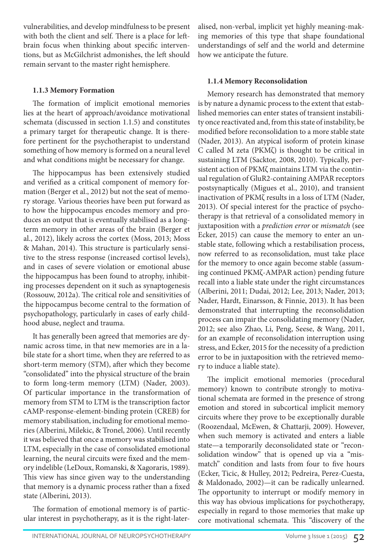vulnerabilities, and develop mindfulness to be present with both the client and self. There is a place for leftbrain focus when thinking about specific interventions, but as McGilchrist admonishes, the left should remain servant to the master right hemisphere.

#### **1.1.3 Memory Formation**

The formation of implicit emotional memories lies at the heart of approach/avoidance motivational schemata (discussed in section 1.1.5) and constitutes a primary target for therapeutic change. It is therefore pertinent for the psychotherapist to understand something of how memory is formed on a neural level and what conditions might be necessary for change.

The hippocampus has been extensively studied and verified as a critical component of memory formation (Berger et al., 2012) but not the seat of memory storage. Various theories have been put forward as to how the hippocampus encodes memory and produces an output that is eventually stabilised as a longterm memory in other areas of the brain (Berger et al., 2012), likely across the cortex (Moss, 2013; Moss & Mahan, 2014). This structure is particularly sensitive to the stress response (increased cortisol levels), and in cases of severe violation or emotional abuse the hippocampus has been found to atrophy, inhibiting processes dependent on it such as synaptogenesis (Rossouw, 2012a). The critical role and sensitivities of the hippocampus become central to the formation of psychopathology, particularly in cases of early childhood abuse, neglect and trauma.

It has generally been agreed that memories are dynamic across time, in that new memories are in a labile state for a short time, when they are referred to as short-term memory (STM), after which they become "consolidated" into the physical structure of the brain to form long-term memory (LTM) (Nader, 2003). Of particular importance in the transformation of memory from STM to LTM is the transcription factor cAMP-response-element-binding protein (CREB) for memory stabilisation, including for emotional memories (Alberini, Milekic, & Tronel, 2006). Until recently it was believed that once a memory was stabilised into LTM, especially in the case of consolidated emotional learning, the neural circuits were fixed and the memory indelible (LeDoux, Romanski, & Xagoraris, 1989). This view has since given way to the understanding that memory is a dynamic process rather than a fixed state (Alberini, 2013).

The formation of emotional memory is of particular interest in psychotherapy, as it is the right-lateralised, non-verbal, implicit yet highly meaning-making memories of this type that shape foundational understandings of self and the world and determine how we anticipate the future.

#### **1.1.4 Memory Reconsolidation**

Memory research has demonstrated that memory is by nature a dynamic process to the extent that established memories can enter states of transient instability once reactivated and, from this state of instability, be modified before reconsolidation to a more stable state (Nader, 2013). An atypical isoform of protein kinase C called M zeta (PKMζ) is thought to be critical in sustaining LTM (Sacktor, 2008, 2010). Typically, persistent action of PKMζ maintains LTM via the continual regulation of GluR2-containing AMPAR receptors postsynaptically (Migues et al., 2010), and transient inactivation of PKMζ results in a loss of LTM (Nader, 2013). Of special interest for the practice of psychotherapy is that retrieval of a consolidated memory in juxtaposition with a *prediction error* or *mismatch* (see Ecker, 2015) can cause the memory to enter an unstable state, following which a restabilisation process, now referred to as reconsolidation, must take place for the memory to once again become stable (assuming continued PKMζ-AMPAR action) pending future recall into a liable state under the right circumstances (Alberini, 2011; Dudai, 2012; Lee, 2013; Nader, 2013; Nader, Hardt, Einarsson, & Finnie, 2013). It has been demonstrated that interrupting the reconsolidation process can impair the consolidating memory (Nader, 2012; see also Zhao, Li, Peng, Seese, & Wang, 2011, for an example of reconsolidation interruption using stress, and Ecker, 2015 for the necessity of a prediction error to be in juxtaposition with the retrieved memory to induce a liable state).

The implicit emotional memories (procedural memory) known to contribute strongly to motivational schemata are formed in the presence of strong emotion and stored in subcortical implicit memory circuits where they prove to be exceptionally durable (Roozendaal, McEwen, & Chattarji, 2009). However, when such memory is activated and enters a liable state—a temporarily deconsolidated state or "reconsolidation window" that is opened up via a "mismatch" condition and lasts from four to five hours (Ecker, Ticic, & Hulley, 2012; Pedreira, Perez-Cuesta, & Maldonado, 2002)—it can be radically unlearned. The opportunity to interrupt or modify memory in this way has obvious implications for psychotherapy, especially in regard to those memories that make up core motivational schemata. This "discovery of the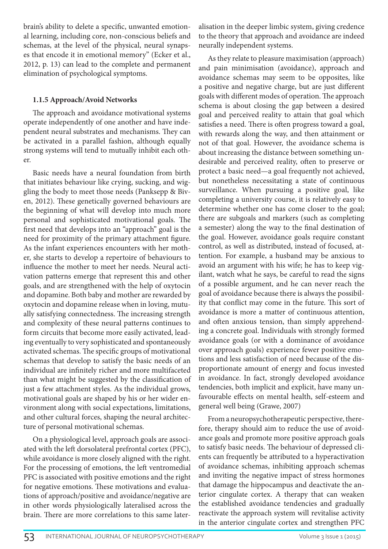brain's ability to delete a specific, unwanted emotional learning, including core, non-conscious beliefs and schemas, at the level of the physical, neural synapses that encode it in emotional memory" (Ecker et al., 2012, p. 13) can lead to the complete and permanent elimination of psychological symptoms.

#### **1.1.5 Approach/Avoid Networks**

The approach and avoidance motivational systems operate independently of one another and have independent neural substrates and mechanisms. They can be activated in a parallel fashion, although equally strong systems will tend to mutually inhibit each other.

Basic needs have a neural foundation from birth that initiates behaviour like crying, sucking, and wiggling the body to meet those needs (Panksepp & Biven, 2012). These genetically governed behaviours are the beginning of what will develop into much more personal and sophisticated motivational goals. The first need that develops into an "approach" goal is the need for proximity of the primary attachment figure. As the infant experiences encounters with her mother, she starts to develop a repertoire of behaviours to influence the mother to meet her needs. Neural activation patterns emerge that represent this and other goals, and are strengthened with the help of oxytocin and dopamine. Both baby and mother are rewarded by oxytocin and dopamine release when in loving, mutually satisfying connectedness. The increasing strength and complexity of these neural patterns continues to form circuits that become more easily activated, leading eventually to very sophisticated and spontaneously activated schemas. The specific groups of motivational schemas that develop to satisfy the basic needs of an individual are infinitely richer and more multifaceted than what might be suggested by the classification of just a few attachment styles. As the individual grows, motivational goals are shaped by his or her wider environment along with social expectations, limitations, and other cultural forces, shaping the neural architecture of personal motivational schemas.

On a physiological level, approach goals are associated with the left dorsolateral prefrontal cortex (PFC), while avoidance is more closely aligned with the right. For the processing of emotions, the left ventromedial PFC is associated with positive emotions and the right for negative emotions. These motivations and evaluations of approach/positive and avoidance/negative are in other words physiologically lateralised across the brain. There are more correlations to this same lateralisation in the deeper limbic system, giving credence to the theory that approach and avoidance are indeed neurally independent systems.

As they relate to pleasure maximisation (approach) and pain minimisation (avoidance), approach and avoidance schemas may seem to be opposites, like a positive and negative charge, but are just different goals with different modes of operation. The approach schema is about closing the gap between a desired goal and perceived reality to attain that goal which satisfies a need. There is often progress toward a goal, with rewards along the way, and then attainment or not of that goal. However, the avoidance schema is about increasing the distance between something undesirable and perceived reality, often to preserve or protect a basic need—a goal frequently not achieved, but nonetheless necessitating a state of continuous surveillance. When pursuing a positive goal, like completing a university course, it is relatively easy to determine whether one has come closer to the goal; there are subgoals and markers (such as completing a semester) along the way to the final destination of the goal. However, avoidance goals require constant control, as well as distributed, instead of focused, attention. For example, a husband may be anxious to avoid an argument with his wife; he has to keep vigilant, watch what he says, be careful to read the signs of a possible argument, and he can never reach the goal of avoidance because there is always the possibility that conflict may come in the future. This sort of avoidance is more a matter of continuous attention, and often anxious tension, than simply apprehending a concrete goal. Individuals with strongly formed avoidance goals (or with a dominance of avoidance over approach goals) experience fewer positive emotions and less satisfaction of need because of the disproportionate amount of energy and focus invested in avoidance. In fact, strongly developed avoidance tendencies, both implicit and explicit, have many unfavourable effects on mental health, self-esteem and general well being (Grawe, 2007)

From a neuropsychotherapeutic perspective, therefore, therapy should aim to reduce the use of avoidance goals and promote more positive approach goals to satisfy basic needs. The behaviour of depressed clients can frequently be attributed to a hyperactivation of avoidance schemas, inhibiting approach schemas and inviting the negative impact of stress hormones that damage the hippocampus and deactivate the anterior cingulate cortex. A therapy that can weaken the established avoidance tendencies and gradually reactivate the approach system will revitalise activity in the anterior cingulate cortex and strengthen PFC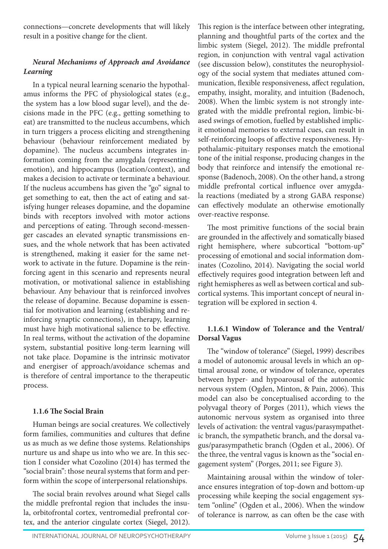connections—concrete developments that will likely result in a positive change for the client.

# *Neural Mechanisms of Approach and Avoidance Learning*

In a typical neural learning scenario the hypothalamus informs the PFC of physiological states (e.g., the system has a low blood sugar level), and the decisions made in the PFC (e.g., getting something to eat) are transmitted to the nucleus accumbens, which in turn triggers a process eliciting and strengthening behaviour (behaviour reinforcement mediated by dopamine). The nucleus accumbens integrates information coming from the amygdala (representing emotion), and hippocampus (location/context), and makes a decision to activate or terminate a behaviour. If the nucleus accumbens has given the "go" signal to get something to eat, then the act of eating and satisfying hunger releases dopamine, and the dopamine binds with receptors involved with motor actions and perceptions of eating. Through second-messenger cascades an elevated synaptic transmissions ensues, and the whole network that has been activated is strengthened, making it easier for the same network to activate in the future. Dopamine is the reinforcing agent in this scenario and represents neural motivation, or motivational salience in establishing behaviour. Any behaviour that is reinforced involves the release of dopamine. Because dopamine is essential for motivation and learning (establishing and reinforcing synaptic connections), in therapy, learning must have high motivational salience to be effective. In real terms, without the activation of the dopamine system, substantial positive long-term learning will not take place. Dopamine is the intrinsic motivator and energiser of approach/avoidance schemas and is therefore of central importance to the therapeutic process.

#### **1.1.6 The Social Brain**

Human beings are social creatures. We collectively form families, communities and cultures that define us as much as we define those systems. Relationships nurture us and shape us into who we are. In this section I consider what Cozolino (2014) has termed the "social brain": those neural systems that form and perform within the scope of interpersonal relationships.

The social brain revolves around what Siegel calls the middle prefrontal region that includes the insula, orbitofrontal cortex, ventromedial prefrontal cortex, and the anterior cingulate cortex (Siegel, 2012). This region is the interface between other integrating, planning and thoughtful parts of the cortex and the limbic system (Siegel, 2012). The middle prefrontal region, in conjunction with ventral vagal activation (see discussion below), constitutes the neurophysiology of the social system that mediates attuned communication, flexible responsiveness, affect regulation, empathy, insight, morality, and intuition (Badenoch, 2008). When the limbic system is not strongly integrated with the middle prefrontal region, limbic-biased swings of emotion, fuelled by established implicit emotional memories to external cues, can result in self-reinforcing loops of affective responsiveness. Hypothalamic-pituitary responses match the emotional tone of the initial response, producing changes in the body that reinforce and intensify the emotional response (Badenoch, 2008). On the other hand, a strong middle prefrontal cortical influence over amygdala reactions (mediated by a strong GABA response) can effectively modulate an otherwise emotionally over-reactive response.

The most primitive functions of the social brain are grounded in the affectively and somatically biased right hemisphere, where subcortical "bottom-up" processing of emotional and social information dominates (Cozolino, 2014). Navigating the social world effectively requires good integration between left and right hemispheres as well as between cortical and subcortical systems. This important concept of neural integration will be explored in section 4.

## **1.1.6.1 Window of Tolerance and the Ventral/ Dorsal Vagus**

The "window of tolerance" (Siegel, 1999) describes a model of autonomic arousal levels in which an optimal arousal zone, or window of tolerance, operates between hyper- and hypoarousal of the autonomic nervous system (Ogden, Minton, & Pain, 2006). This model can also be conceptualised according to the polyvagal theory of Porges (2011), which views the autonomic nervous system as organised into three levels of activation: the ventral vagus/parasympathetic branch, the sympathetic branch, and the dorsal vagus/parasympathetic branch (Ogden et al., 2006). Of the three, the ventral vagus is known as the "social engagement system" (Porges, 2011; see Figure 3).

Maintaining arousal within the window of tolerance ensures integration of top-down and bottom-up processing while keeping the social engagement system "online" (Ogden et al., 2006). When the window of tolerance is narrow, as can often be the case with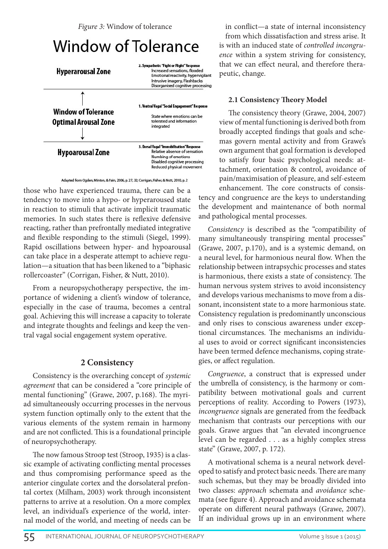*Figure 3:* Window of tolerance

# Window of Tolerance



Adapted from Ogden, Minton, & Pain, 2006, p. 27, 32; Corrigan, Fisher, & Nutt, 2010, p. 2

those who have experienced trauma, there can be a tendency to move into a hypo- or hyperaroused state in reaction to stimuli that activate implicit traumatic memories. In such states there is reflexive defensive reacting, rather than prefrontally mediated integrative and flexible responding to the stimuli (Siegel, 1999). Rapid oscillations between hyper- and hypoarousal can take place in a desperate attempt to achieve regulation—a situation that has been likened to a "biphasic rollercoaster" (Corrigan, Fisher, & Nutt, 2010).

From a neuropsychotherapy perspective, the importance of widening a client's window of tolerance, especially in the case of trauma, becomes a central goal. Achieving this will increase a capacity to tolerate and integrate thoughts and feelings and keep the ventral vagal social engagement system operative.

#### **2 Consistency**

Consistency is the overarching concept of *systemic agreement* that can be considered a "core principle of mental functioning" (Grawe, 2007, p.168). The myriad simultaneously occurring processes in the nervous system function optimally only to the extent that the various elements of the system remain in harmony and are not conflicted. This is a foundational principle of neuropsychotherapy.

The now famous Stroop test (Stroop, 1935) is a classic example of activating conflicting mental processes and thus compromising performance speed as the anterior cingulate cortex and the dorsolateral prefontal cortex (Milham, 2003) work through inconsistent patterns to arrive at a resolution. On a more complex level, an individual's experience of the world, internal model of the world, and meeting of needs can be

in conflict—a state of internal inconsistency from which dissatisfaction and stress arise. It is with an induced state of *controlled incongruence* within a system striving for consistency, that we can effect neural, and therefore therapeutic, change.

#### **2.1 Consistency Theory Model**

The consistency theory (Grawe, 2004, 2007) view of mental functioning is derived both from broadly accepted findings that goals and schemas govern mental activity and from Grawe's own argument that goal formation is developed to satisfy four basic psychological needs: attachment, orientation & control, avoidance of pain/maximisation of pleasure, and self-esteem enhancement. The core constructs of consistency and congruence are the keys to understanding the development and maintenance of both normal and pathological mental processes.

*Consistency* is described as the "compatibility of many simultaneously transpiring mental processes" (Grawe, 2007, p.170), and is a systemic demand, on a neural level, for harmonious neural flow. When the relationship between intrapsychic processes and states is harmonious, there exists a state of consistency. The human nervous system strives to avoid inconsistency and develops various mechanisms to move from a dissonant, inconsistent state to a more harmonious state. Consistency regulation is predominantly unconscious and only rises to conscious awareness under exceptional circumstances. The mechanisms an individual uses to avoid or correct significant inconsistencies have been termed defence mechanisms, coping strategies, or affect regulation.

*Congruence*, a construct that is expressed under the umbrella of consistency, is the harmony or compatibility between motivational goals and current perceptions of reality. According to Powers (1973), *incongruence* signals are generated from the feedback mechanism that contrasts our perceptions with our goals. Grawe argues that "an elevated incongruence level can be regarded . . . as a highly complex stress state" (Grawe, 2007, p. 172).

A motivational schema is a neural network developed to satisfy and protect basic needs. There are many such schemas, but they may be broadly divided into two classes: *approach* schemata and *avoidance* schemata (see figure 4). Approach and avoidance schemata operate on different neural pathways (Grawe, 2007). If an individual grows up in an environment where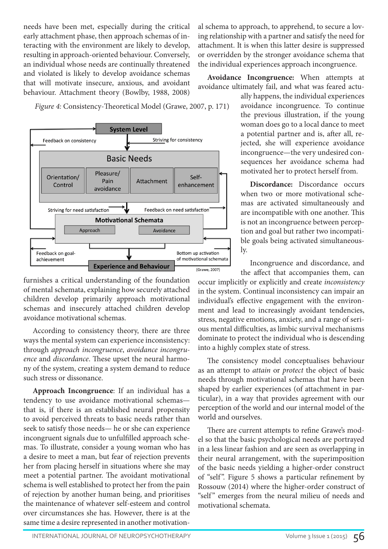needs have been met, especially during the critical early attachment phase, then approach schemas of interacting with the environment are likely to develop, resulting in approach-oriented behaviour. Conversely, an individual whose needs are continually threatened and violated is likely to develop avoidance schemas that will motivate insecure, anxious, and avoidant behaviour. Attachment theory (Bowlby, 1988, 2008)

al schema to approach, to apprehend, to secure a loving relationship with a partner and satisfy the need for attachment. It is when this latter desire is suppressed or overridden by the stronger avoidance schema that the individual experiences approach incongruence.

**Avoidance Incongruence:** When attempts at avoidance ultimately fail, and what was feared actu-

*Figure 4:* Consistency-Theoretical Model (Grawe, 2007, p. 171)



furnishes a critical understanding of the foundation of mental schemata, explaining how securely attached children develop primarily approach motivational schemas and insecurely attached children develop avoidance motivational schemas.

According to consistency theory, there are three ways the mental system can experience inconsistency: through *approach incongruence*, *avoidance incongruence* and *discordance*. These upset the neural harmony of the system, creating a system demand to reduce such stress or dissonance.

**Approach Incongruence**: If an individual has a tendency to use avoidance motivational schemas that is, if there is an established neural propensity to avoid perceived threats to basic needs rather than seek to satisfy those needs— he or she can experience incongruent signals due to unfulfilled approach schemas. To illustrate, consider a young woman who has a desire to meet a man, but fear of rejection prevents her from placing herself in situations where she may meet a potential partner. The avoidant motivational schema is well established to protect her from the pain of rejection by another human being, and prioritises the maintenance of whatever self-esteem and control over circumstances she has. However, there is at the same time a desire represented in another motivationally happens, the individual experiences avoidance incongruence. To continue the previous illustration, if the young woman does go to a local dance to meet a potential partner and is, after all, rejected, she will experience avoidance incongruence—the very undesired consequences her avoidance schema had motivated her to protect herself from.

**Discordance:** Discordance occurs when two or more motivational schemas are activated simultaneously and are incompatible with one another. This is not an incongruence between perception and goal but rather two incompatible goals being activated simultaneously.

Incongruence and discordance, and the affect that accompanies them, can

occur implicitly or explicitly and create *inconsistency* in the system. Continual inconsistency can impair an individual's effective engagement with the environment and lead to increasingly avoidant tendencies, stress, negative emotions, anxiety, and a range of serious mental difficulties, as limbic survival mechanisms dominate to protect the individual who is descending into a highly complex state of stress.

The consistency model conceptualises behaviour as an attempt to *attain* or *protect* the object of basic needs through motivational schemas that have been shaped by earlier experiences (of attachment in particular), in a way that provides agreement with our perception of the world and our internal model of the world and ourselves.

There are current attempts to refine Grawe's model so that the basic psychological needs are portrayed in a less linear fashion and are seen as overlapping in their neural arrangement, with the superimposition of the basic needs yielding a higher-order construct of "self ". Figure 5 shows a particular refinement by Rossouw (2014) where the higher-order construct of "self" emerges from the neural milieu of needs and motivational schemata.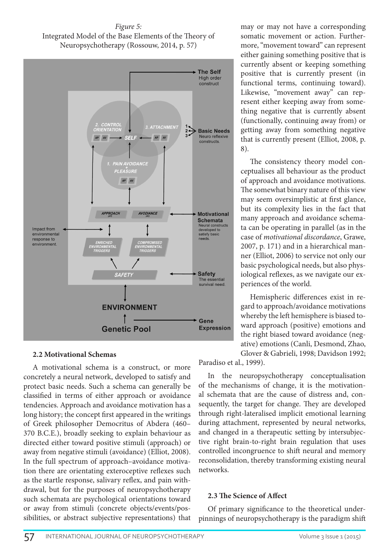*Figure 5:* Integrated Model of the Base Elements of the Theory of Neuropsychotherapy (Rossouw, 2014, p. 57)



#### **2.2 Motivational Schemas**

A motivational schema is a construct, or more concretely a neural network, developed to satisfy and protect basic needs. Such a schema can generally be classified in terms of either approach or avoidance tendencies. Approach and avoidance motivation has a long history; the concept first appeared in the writings of Greek philosopher Democritus of Abdera (460– 370 B.C.E.), broadly seeking to explain behaviour as directed either toward positive stimuli (approach) or away from negative stimuli (avoidance) (Elliot, 2008). In the full spectrum of approach–avoidance motivation there are orientating exteroceptive reflexes such as the startle response, salivary reflex, and pain withdrawal, but for the purposes of neuropsychotherapy such schemata are psychological orientations toward or away from stimuli (concrete objects/events/possibilities, or abstract subjective representations) that may or may not have a corresponding somatic movement or action. Furthermore, "movement toward" can represent either gaining something positive that is currently absent or keeping something positive that is currently present (in functional terms, continuing toward). Likewise, "movement away" can represent either keeping away from something negative that is currently absent (functionally, continuing away from) or getting away from something negative that is currently present (Elliot, 2008, p. 8).

The consistency theory model conceptualises all behaviour as the product of approach and avoidance motivations. The somewhat binary nature of this view may seem oversimplistic at first glance, but its complexity lies in the fact that many approach and avoidance schemata can be operating in parallel (as in the case of *motivational discordance*, Grawe, 2007, p. 171) and in a hierarchical manner (Elliot, 2006) to service not only our basic psychological needs, but also physiological reflexes, as we navigate our experiences of the world.

Hemispheric differences exist in regard to approach/avoidance motivations whereby the left hemisphere is biased toward approach (positive) emotions and the right biased toward avoidance (negative) emotions (Canli, Desmond, Zhao, Glover & Gabrieli, 1998; Davidson 1992;

Paradiso et al., 1999).

In the neuropsychotherapy conceptualisation of the mechanisms of change, it is the motivational schemata that are the cause of distress and, consequently, the target for change. They are developed through right-lateralised implicit emotional learning during attachment, represented by neural networks, and changed in a therapeutic setting by intersubjective right brain-to-right brain regulation that uses controlled incongruence to shift neural and memory reconsolidation, thereby transforming existing neural networks.

#### **2.3 The Science of Affect**

Of primary significance to the theoretical underpinnings of neuropsychotherapy is the paradigm shift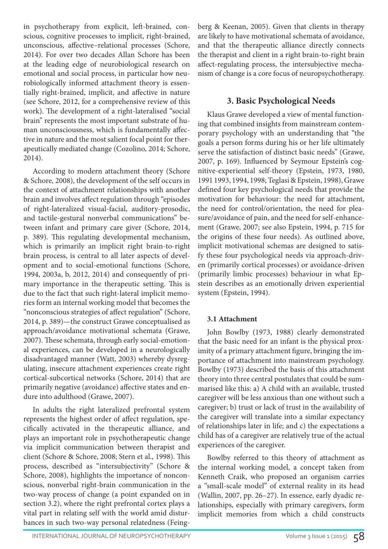in psychotherapy from explicit, left-brained, conscious, cognitive processes to implicit, right-brained, unconscious, affective–relational processes (Schore, 2014). For over two decades Allan Schore has been at the leading edge of neurobiological research on emotional and social process, in particular how neurobiologically informed attachment theory is essentially right-brained, implicit, and affective in nature (see Schore, 2012, for a comprehensive review of this work). The development of a right-lateralised "social brain" represents the most important substrate of human unconsciousness, which is fundamentally affective in nature and the most salient focal point for therapeutically mediated change (Cozolino, 2014; Schore, 2014).

According to modern attachment theory (Schore & Schore, 2008), the development of the self occurs in the context of attachment relationships with another brain and involves affect regulation through "episodes of right-lateralized visual-facial, auditory-prosodic, and tactile-gestural nonverbal communications" between infant and primary care giver (Schore, 2014, p. 389). This regulating developmental mechanism, which is primarily an implicit right brain-to-right brain process, is central to all later aspects of development and to social-emotional functions (Schore, 1994, 2003a, b, 2012, 2014) and consequently of primary importance in the therapeutic setting. This is due to the fact that such right-lateral implicit memories form an internal working model that becomes the "nonconscious strategies of affect regulation" (Schore, 2014, p. 389)—the construct Grawe conceptualised as approach/avoidance motivational schemata (Grawe, 2007). These schemata, through early social-emotional experiences, can be developed in a neurologically disadvantaged manner (Watt, 2003) whereby dysregulating, insecure attachment experiences create right cortical-subcortical networks (Schore, 2014) that are primarily negative (avoidance) affective states and endure into adulthood (Grawe, 2007).

In adults the right lateralized prefrontal system represents the highest order of affect regulation, specifically activated in the therapeutic alliance, and plays an important role in psychotherapeutic change via implicit communication between therapist and client (Schore & Schore, 2008; Stern et al., 1998). This process, described as "intersubjectivity" (Schore & Schore, 2008), highlights the importance of nonconscious, nonverbal right-brain communication in the two-way process of change (a point expanded on in section 3.2), where the right prefrontal cortex plays a vital part in relating self with the world amid disturbances in such two-way personal relatedness (Feingberg & Keenan, 2005). Given that clients in therapy are likely to have motivational schemata of avoidance, and that the therapeutic alliance directly connects the therapist and client in a right brain-to-right brain affect-regulating process, the intersubjective mechanism of change is a core focus of neuropsychotherapy.

# **3. Basic Psychological Needs**

Klaus Grawe developed a view of mental functioning that combined insights from mainstream contemporary psychology with an understanding that "the goals a person forms during his or her life ultimately serve the satisfaction of distinct basic needs" (Grawe, 2007, p. 169). Influenced by Seymour Epstein's cognitive-experiential self-theory (Epstein, 1973, 1980, 1991 1993, 1994, 1998; Teglasi & Epstein, 1998), Grawe defined four key psychological needs that provide the motivation for behaviour: the need for attachment, the need for control/orientation, the need for pleasure/avoidance of pain, and the need for self-enhancement (Grawe, 2007; see also Epstein, 1994, p. 715 for the origins of these four needs). As outlined above, implicit motivational schemas are designed to satisfy these four psychological needs via approach-driven (primarily cortical processes) or avoidance-driven (primarily limbic processes) behaviour in what Epstein describes as an emotionally driven experiential system (Epstein, 1994).

# **3.1 Attachment**

John Bowlby (1973, 1988) clearly demonstrated that the basic need for an infant is the physical proximity of a primary attachment figure, bringing the importance of attachment into mainstream psychology. Bowlby (1973) described the basis of this attachment theory into three central postulates that could be summarised like this: a) A child with an available, trusted caregiver will be less anxious than one without such a caregiver; b) trust or lack of trust in the availability of the caregiver will translate into a similar expectancy of relationships later in life; and c) the expectations a child has of a caregiver are relatively true of the actual experiences of the caregiver.

Bowlby referred to this theory of attachment as the internal working model, a concept taken from Kenneth Craik, who proposed an organism carries a "small-scale model" of external reality in its head (Wallin, 2007, pp. 26–27). In essence, early dyadic relationships, especially with primary caregivers, form implicit memories from which a child constructs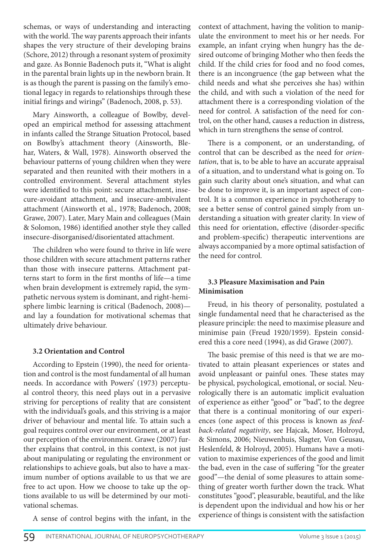schemas, or ways of understanding and interacting with the world. The way parents approach their infants shapes the very structure of their developing brains (Schore, 2012) through a resonant system of proximity and gaze. As Bonnie Badenoch puts it, "What is alight in the parental brain lights up in the newborn brain. It is as though the parent is passing on the family's emotional legacy in regards to relationships through these initial firings and wirings" (Badenoch, 2008, p. 53).

Mary Ainsworth, a colleague of Bowlby, developed an empirical method for assessing attachment in infants called the Strange Situation Protocol, based on Bowlby's attachment theory (Ainsworth, Blehar, Waters, & Wall, 1978). Ainsworth observed the behaviour patterns of young children when they were separated and then reunited with their mothers in a controlled environment. Several attachment styles were identified to this point: secure attachment, insecure-avoidant attachment, and insecure-ambivalent attachment (Ainsworth et al., 1978; Badenoch, 2008; Grawe, 2007). Later, Mary Main and colleagues (Main & Solomon, 1986) identified another style they called insecure-disorganised/disorientated attachment.

The children who were found to thrive in life were those children with secure attachment patterns rather than those with insecure patterns. Attachment patterns start to form in the first months of life—a time when brain development is extremely rapid, the sympathetic nervous system is dominant, and right-hemisphere limbic learning is critical (Badenoch, 2008) and lay a foundation for motivational schemas that ultimately drive behaviour.

#### **3.2 Orientation and Control**

According to Epstein (1990), the need for orientation and control is the most fundamental of all human needs. In accordance with Powers' (1973) perceptual control theory, this need plays out in a pervasive striving for perceptions of reality that are consistent with the individual's goals, and this striving is a major driver of behaviour and mental life. To attain such a goal requires control over our environment, or at least our perception of the environment. Grawe (2007) further explains that control, in this context, is not just about manipulating or regulating the environment or relationships to achieve goals, but also to have a maximum number of options available to us that we are free to act upon. How we choose to take up the options available to us will be determined by our motivational schemas.

A sense of control begins with the infant, in the

context of attachment, having the volition to manipulate the environment to meet his or her needs. For example, an infant crying when hungry has the desired outcome of bringing Mother who then feeds the child. If the child cries for food and no food comes, there is an incongruence (the gap between what the child needs and what she perceives she has) within the child, and with such a violation of the need for attachment there is a corresponding violation of the need for control. A satisfaction of the need for control, on the other hand, causes a reduction in distress, which in turn strengthens the sense of control.

There is a component, or an understanding, of control that can be described as the need for *orientation*, that is, to be able to have an accurate appraisal of a situation, and to understand what is going on. To gain such clarity about one's situation, and what can be done to improve it, is an important aspect of control. It is a common experience in psychotherapy to see a better sense of control gained simply from understanding a situation with greater clarity. In view of this need for orientation, effective (disorder-specific and problem-specific) therapeutic interventions are always accompanied by a more optimal satisfaction of the need for control.

## **3.3 Pleasure Maximisation and Pain Minimisation**

Freud, in his theory of personality, postulated a single fundamental need that he characterised as the pleasure principle: the need to maximise pleasure and minimise pain (Freud 1920/1959). Epstein considered this a core need (1994), as did Grawe (2007).

The basic premise of this need is that we are motivated to attain pleasant experiences or states and avoid unpleasant or painful ones. These states may be physical, psychological, emotional, or social. Neurologically there is an automatic implicit evaluation of experience as either "good" or "bad", to the degree that there is a continual monitoring of our experiences (one aspect of this process is known as *feedback-related negativity*, see Hajcak, Moser, Holroyd, & Simons, 2006; Nieuwenhuis, Slagter, Von Geusau, Heslenfeld, & Holroyd, 2005). Humans have a motivation to maximise experiences of the good and limit the bad, even in the case of suffering "for the greater good"—the denial of some pleasures to attain something of greater worth further down the track. What constitutes "good", pleasurable, beautiful, and the like is dependent upon the individual and how his or her experience of things is consistent with the satisfaction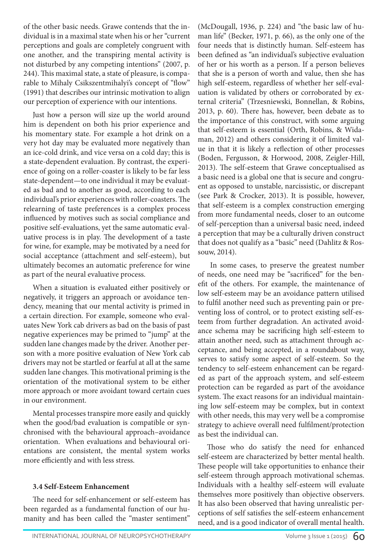of the other basic needs. Grawe contends that the individual is in a maximal state when his or her "current perceptions and goals are completely congruent with one another, and the transpiring mental activity is not disturbed by any competing intentions" (2007, p. 244). This maximal state, a state of pleasure, is comparable to Mihaly Csikszentmihalyi's concept of "flow" (1991) that describes our intrinsic motivation to align our perception of experience with our intentions.

Just how a person will size up the world around him is dependent on both his prior experience and his momentary state. For example a hot drink on a very hot day may be evaluated more negatively than an ice-cold drink, and vice versa on a cold day; this is a state-dependent evaluation. By contrast, the experience of going on a roller-coaster is likely to be far less state-dependent—to one individual it may be evaluated as bad and to another as good, according to each individual's prior experiences with roller-coasters. The relearning of taste preferences is a complex process influenced by motives such as social compliance and positive self-evaluations, yet the same automatic evaluative process is in play. The development of a taste for wine, for example, may be motivated by a need for social acceptance (attachment and self-esteem), but ultimately becomes an automatic preference for wine as part of the neural evaluative process.

When a situation is evaluated either positively or negatively, it triggers an approach or avoidance tendency, meaning that our mental activity is primed in a certain direction. For example, someone who evaluates New York cab drivers as bad on the basis of past negative experiences may be primed to "jump" at the sudden lane changes made by the driver. Another person with a more positive evaluation of New York cab drivers may not be startled or fearful at all at the same sudden lane changes. This motivational priming is the orientation of the motivational system to be either more approach or more avoidant toward certain cues in our environment.

Mental processes transpire more easily and quickly when the good/bad evaluation is compatible or synchronised with the behavioural approach–avoidance orientation. When evaluations and behavioural orientations are consistent, the mental system works more efficiently and with less stress.

#### **3.4 Self-Esteem Enhancement**

The need for self-enhancement or self-esteem has been regarded as a fundamental function of our humanity and has been called the "master sentiment" (McDougall, 1936, p. 224) and "the basic law of human life" (Becker, 1971, p. 66), as the only one of the four needs that is distinctly human. Self-esteem has been defined as "an individual's subjective evaluation of her or his worth as a person. If a person believes that she is a person of worth and value, then she has high self-esteem, regardless of whether her self-evaluation is validated by others or corroborated by external criteria" (Trzesniewski, Bonnellan, & Robins, 2013, p. 60). There has, however, been debate as to the importance of this construct, with some arguing that self-esteem is essential (Orth, Robins, & Widaman, 2012) and others considering it of limited value in that it is likely a reflection of other processes (Boden, Fergusson, & Horwood, 2008, Zeigler-Hill, 2013). The self-esteem that Grawe conceptualised as a basic need is a global one that is secure and congruent as opposed to unstable, narcissistic, or discrepant (see Park & Crocker, 2013). It is possible, however, that self-esteem is a complex construction emerging from more fundamental needs, closer to an outcome of self-perception than a universal basic need, indeed a perception that may be a culturally driven construct that does not qualify as a "basic" need (Dahlitz & Rossouw, 2014).

 In some cases, to preserve the greatest number of needs, one need may be "sacrificed" for the benefit of the others. For example, the maintenance of low self-esteem may be an avoidance pattern utilised to fulfil another need such as preventing pain or preventing loss of control, or to protect existing self-esteem from further degradation. An activated avoidance schema may be sacrificing high self-esteem to attain another need, such as attachment through acceptance, and being accepted, in a roundabout way, serves to satisfy some aspect of self-esteem. So the tendency to self-esteem enhancement can be regarded as part of the approach system, and self-esteem protection can be regarded as part of the avoidance system. The exact reasons for an individual maintaining low self-esteem may be complex, but in context with other needs, this may very well be a compromise strategy to achieve overall need fulfilment/protection as best the individual can.

Those who do satisfy the need for enhanced self-esteem are characterized by better mental health. These people will take opportunities to enhance their self-esteem through approach motivational schemas. Individuals with a healthy self-esteem will evaluate themselves more positively than objective observers. It has also been observed that having unrealistic perceptions of self satisfies the self-esteem enhancement need, and is a good indicator of overall mental health.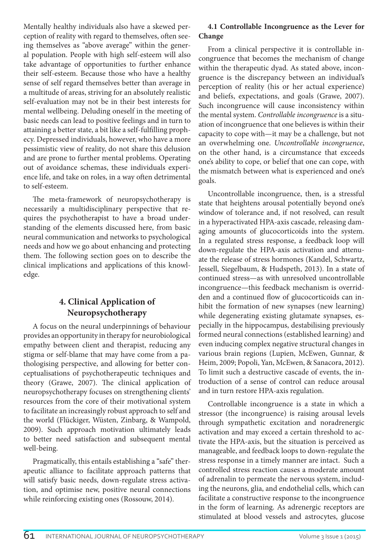Mentally healthy individuals also have a skewed perception of reality with regard to themselves, often seeing themselves as "above average" within the general population. People with high self-esteem will also take advantage of opportunities to further enhance their self-esteem. Because those who have a healthy sense of self regard themselves better than average in a multitude of areas, striving for an absolutely realistic self-evaluation may not be in their best interests for mental wellbeing. Deluding oneself in the meeting of basic needs can lead to positive feelings and in turn to attaining a better state, a bit like a self-fulfilling prophecy. Depressed individuals, however, who have a more pessimistic view of reality, do not share this delusion and are prone to further mental problems. Operating out of avoidance schemas, these individuals experience life, and take on roles, in a way often detrimental to self-esteem.

The meta-framework of neuropsychotherapy is necessarily a multidisciplinary perspective that requires the psychotherapist to have a broad understanding of the elements discussed here, from basic neural communication and networks to psychological needs and how we go about enhancing and protecting them. The following section goes on to describe the clinical implications and applications of this knowledge.

# **4. Clinical Application of Neuropsychotherapy**

A focus on the neural underpinnings of behaviour provides an opportunity in therapy for neurobiological empathy between client and therapist, reducing any stigma or self-blame that may have come from a pathologising perspective, and allowing for better conceptualisations of psychotherapeutic techniques and theory (Grawe, 2007). The clinical application of neuropsychotherapy focuses on strengthening clients' resources from the core of their motivational system to facilitate an increasingly robust approach to self and the world (Flückiger, Wüsten, Zinbarg, & Wampold, 2009). Such approach motivation ultimately leads to better need satisfaction and subsequent mental well-being.

Pragmatically, this entails establishing a "safe" therapeutic alliance to facilitate approach patterns that will satisfy basic needs, down-regulate stress activation, and optimise new, positive neural connections while reinforcing existing ones (Rossouw, 2014).

# **4.1 Controllable Incongruence as the Lever for Change**

From a clinical perspective it is controllable incongruence that becomes the mechanism of change within the therapeutic dyad. As stated above, incongruence is the discrepancy between an individual's perception of reality (his or her actual experience) and beliefs, expectations, and goals (Grawe, 2007). Such incongruence will cause inconsistency within the mental system. *Controllable incongruence* is a situation of incongruence that one believes is within their capacity to cope with—it may be a challenge, but not an overwhelming one. *Uncontrollable incongruence*, on the other hand, is a circumstance that exceeds one's ability to cope, or belief that one can cope, with the mismatch between what is experienced and one's goals.

Uncontrollable incongruence, then, is a stressful state that heightens arousal potentially beyond one's window of tolerance and, if not resolved, can result in a hyperactivated HPA-axis cascade, releasing damaging amounts of glucocorticoids into the system. In a regulated stress response, a feedback loop will down-regulate the HPA-axis activation and attenuate the release of stress hormones (Kandel, Schwartz, Jessell, Siegelbaum, & Hudspeth, 2013). In a state of continued stress—as with unresolved uncontrollable incongruence—this feedback mechanism is overridden and a continued flow of glucocorticoids can inhibit the formation of new synapses (new learning) while degenerating existing glutamate synapses, especially in the hippocampus, destabilising previously formed neural connections (established learning) and even inducing complex negative structural changes in various brain regions (Lupien, McEwen, Gunnar, & Heim, 2009; Popoli, Yan, McEwen, & Sanacora, 2012). To limit such a destructive cascade of events, the introduction of a sense of control can reduce arousal and in turn restore HPA-axis regulation.

Controllable incongruence is a state in which a stressor (the incongruence) is raising arousal levels through sympathetic excitation and noradrenergic activation and may exceed a certain threshold to activate the HPA-axis, but the situation is perceived as manageable, and feedback loops to down-regulate the stress response in a timely manner are intact. Such a controlled stress reaction causes a moderate amount of adrenalin to permeate the nervous system, including the neurons, glia, and endothelial cells, which can facilitate a constructive response to the incongruence in the form of learning. As adrenergic receptors are stimulated at blood vessels and astrocytes, glucose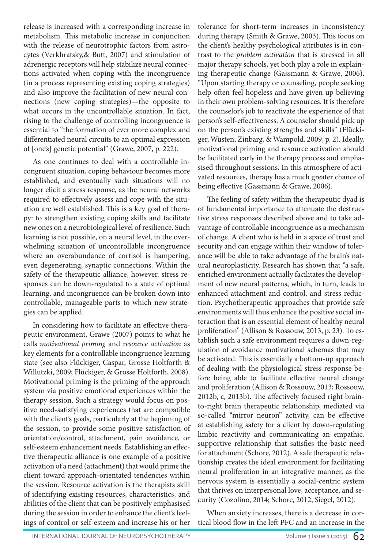release is increased with a corresponding increase in metabolism. This metabolic increase in conjunction with the release of neurotrophic factors from astrocytes (Verkhratsky,& Butt, 2007) and stimulation of adrenergic receptors will help stabilize neural connections activated when coping with the incongruence (in a process representing existing coping strategies) and also improve the facilitation of new neural connections (new coping strategies)—the opposite to what occurs in the uncontrollable situation. In fact, rising to the challenge of controlling incongruence is essential to "the formation of ever more complex and differentiated neural circuits to an optimal expression of [one's] genetic potential" (Grawe, 2007, p. 222).

As one continues to deal with a controllable incongruent situation, coping behaviour becomes more established, and eventually such situations will no longer elicit a stress response, as the neural networks required to effectively assess and cope with the situation are well established. This is a key goal of therapy: to strengthen existing coping skills and facilitate new ones on a neurobiological level of resilience. Such learning is not possible, on a neural level, in the overwhelming situation of uncontrollable incongruence where an overabundance of cortisol is hampering, even degenerating, synaptic connections. Within the safety of the therapeutic alliance, however, stress responses can be down-regulated to a state of optimal learning, and incongruence can be broken down into controllable, manageable parts to which new strategies can be applied.

In considering how to facilitate an effective therapeutic environment, Grawe (2007) points to what he calls *motivational priming* and *resource activation* as key elements for a controllable incongruence learning state (see also Flückiger, Caspar, Grosse Holtforth & Willutzki, 2009; Flückiger, & Grosse Holtforth, 2008). Motivational priming is the priming of the approach system via positive emotional experiences within the therapy session. Such a strategy would focus on positive need-satisfying experiences that are compatible with the client's goals, particularly at the beginning of the session, to provide some positive satisfaction of orientation/control, attachment, pain avoidance, or self-esteem enhancement needs. Establishing an effective therapeutic alliance is one example of a positive activation of a need (attachment) that would prime the client toward approach-orientated tendencies within the session. Resource activation is the therapists skill of identifying existing resources, characteristics, and abilities of the client that can be positively emphasised during the session in order to enhance the client's feelings of control or self-esteem and increase his or her

tolerance for short-term increases in inconsistency during therapy (Smith & Grawe, 2003). This focus on the client's healthy psychological attributes is in contrast to the *problem activation* that is stressed in all major therapy schools, yet both play a role in explaining therapeutic change (Gassmann & Grawe, 2006). "Upon starting therapy or counseling, people seeking help often feel hopeless and have given up believing in their own problem-solving resources. It is therefore the counselor's job to reactivate the experience of that person's self-effectiveness. A counselor should pick up on the person's existing strengths and skills" (Flückiger, Wüsten, Zinbarg, & Wampold, 2009, p. 2). Ideally, motivational priming and resource activation should be facilitated early in the therapy process and emphasised throughout sessions. In this atmosphere of activated resources, therapy has a much greater chance of being effective (Gassmann & Grawe, 2006).

The feeling of safety within the therapeutic dyad is of fundamental importance to attenuate the destructive stress responses described above and to take advantage of controllable incongruence as a mechanism of change. A client who is held in a space of trust and security and can engage within their window of tolerance will be able to take advantage of the brain's natural neuroplasticity. Research has shown that "a safe, enriched environment actually facilitates the development of new neural patterns, which, in turn, leads to enhanced attachment and control, and stress reduction. Psychotherapeutic approaches that provide safe environments will thus enhance the positive social interaction that is an essential element of healthy neural proliferation" (Allison & Rossouw, 2013, p. 23). To establish such a safe environment requires a down-regulation of avoidance motivational schemas that may be activated. This is essentially a bottom-up approach of dealing with the physiological stress response before being able to facilitate effective neural change and proliferation (Allison & Rossouw, 2013; Rossouw, 2012b, c, 2013b). The affectively focused right brainto-right brain therapeutic relationship, mediated via so-called "mirror neuron" activity, can be effective at establishing safety for a client by down-regulating limbic reactivity and communicating an empathic, supportive relationship that satisfies the basic need for attachment (Schore, 2012). A safe therapeutic relationship creates the ideal environment for facilitating neural proliferation in an integrative manner, as the nervous system is essentially a social-centric system that thrives on interpersonal love, acceptance, and security (Cozolino, 2014; Schore, 2012, Siegel, 2012).

When anxiety increases, there is a decrease in cortical blood flow in the left PFC and an increase in the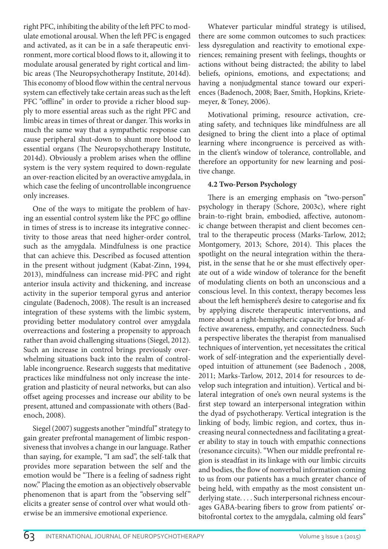right PFC, inhibiting the ability of the left PFC to modulate emotional arousal. When the left PFC is engaged and activated, as it can be in a safe therapeutic environment, more cortical blood flows to it, allowing it to modulate arousal generated by right cortical and limbic areas (The Neuropsychotherapy Institute, 2014d). This economy of blood flow within the central nervous system can effectively take certain areas such as the left PFC "offline" in order to provide a richer blood supply to more essential areas such as the right PFC and limbic areas in times of threat or danger. This works in much the same way that a sympathetic response can cause peripheral shut-down to shunt more blood to essential organs (The Neuropsychotherapy Institute, 2014d). Obviously a problem arises when the offline system is the very system required to down-regulate an over-reaction elicited by an overactive amygdala, in which case the feeling of uncontrollable incongruence only increases.

One of the ways to mitigate the problem of having an essential control system like the PFC go offline in times of stress is to increase its integrative connectivity to those areas that need higher-order control, such as the amygdala. Mindfulness is one practice that can achieve this. Described as focused attention in the present without judgment (Kabat-Zinn, 1994, 2013), mindfulness can increase mid-PFC and right anterior insula activity and thickening, and increase activity in the superior temporal gyrus and anterior cingulate (Badenoch, 2008). The result is an increased integration of these systems with the limbic system, providing better modulatory control over amygdala overreactions and fostering a propensity to approach rather than avoid challenging situations (Siegel, 2012). Such an increase in control brings previously overwhelming situations back into the realm of controllable incongruence. Research suggests that meditative practices like mindfulness not only increase the integration and plasticity of neural networks, but can also offset ageing processes and increase our ability to be present, attuned and compassionate with others (Badenoch, 2008).

Siegel (2007) suggests another "mindful" strategy to gain greater prefrontal management of limbic responsiveness that involves a change in our language. Rather than saying, for example, "I am sad", the self-talk that provides more separation between the self and the emotion would be "There is a feeling of sadness right now." Placing the emotion as an objectively observable phenomenon that is apart from the "observing self" elicits a greater sense of control over what would otherwise be an immersive emotional experience.

Whatever particular mindful strategy is utilised, there are some common outcomes to such practices: less dysregulation and reactivity to emotional experiences; remaining present with feelings, thoughts or actions without being distracted; the ability to label beliefs, opinions, emotions, and expectations; and having a nonjudgmental stance toward our experiences (Badenoch, 2008; Baer, Smith, Hopkins, Krietemeyer, & Toney, 2006).

Motivational priming, resource activation, creating safety, and techniques like mindfulness are all designed to bring the client into a place of optimal learning where incongruence is perceived as within the client's window of tolerance, controllable, and therefore an opportunity for new learning and positive change.

#### **4.2 Two-Person Psychology**

There is an emerging emphasis on "two-person" psychology in therapy (Schore, 2003c), where right brain-to-right brain, embodied, affective, autonomic change between therapist and client becomes central to the therapeutic process (Marks-Tarlow, 2012; Montgomery, 2013; Schore, 2014). This places the spotlight on the neural integration within the therapist, in the sense that he or she must effectively operate out of a wide window of tolerance for the benefit of modulating clients on both an unconscious and a conscious level. In this context, therapy becomes less about the left hemisphere's desire to categorise and fix by applying discrete therapeutic interventions, and more about a right-hemispheric capacity for broad affective awareness, empathy, and connectedness. Such a perspective liberates the therapist from manualised techniques of intervention, yet necessitates the critical work of self-integration and the experientially developed intuition of attunement (see Badenoch , 2008, 2011; Marks-Tarlow, 2012, 2014 for resources to develop such integration and intuition). Vertical and bilateral integration of one's own neural systems is the first step toward an interpersonal integration within the dyad of psychotherapy. Vertical integration is the linking of body, limbic region, and cortex, thus increasing neural connectedness and facilitating a greater ability to stay in touch with empathic connections (resonance circuits). "When our middle prefrontal region is steadfast in its linkage with our limbic circuits and bodies, the flow of nonverbal information coming to us from our patients has a much greater chance of being held, with empathy as the most consistent underlying state. . . . Such interpersonal richness encourages GABA-bearing fibers to grow from patients' orbitofrontal cortex to the amygdala, calming old fears"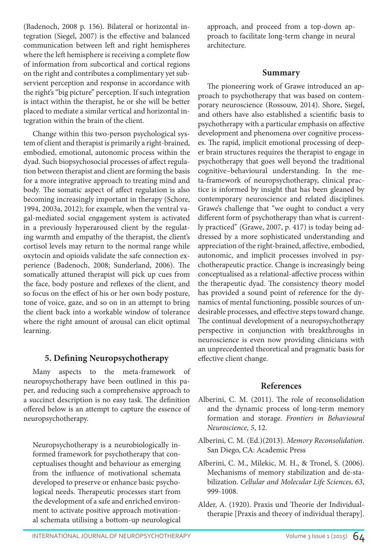(Badenoch, 2008 p. 156). Bilateral or horizontal integration (Siegel, 2007) is the effective and balanced communication between left and right hemispheres where the left hemisphere is receiving a complete flow of information from subcortical and cortical regions on the right and contributes a complimentary yet subservient perception and response in accordance with the right's "big picture" perception. If such integration is intact within the therapist, he or she will be better placed to mediate a similar vertical and horizontal integration within the brain of the client.

Change within this two-person psychological system of client and therapist is primarily a right-brained, embodied, emotional, autonomic process within the dyad. Such biopsychosocial processes of affect regulation between therapist and client are forming the basis for a more integrative approach to treating mind and body. The somatic aspect of affect regulation is also becoming increasingly important in therapy (Schore, 1994, 2003a, 2012); for example, when the ventral vagal-mediated social engagement system is activated in a previously hyperaroused client by the regulating warmth and empathy of the therapist, the client's cortisol levels may return to the normal range while oxytocin and opioids validate the safe connection experience (Badenoch, 2008; Sunderland, 2006). The somatically attuned therapist will pick up cues from the face, body posture and reflexes of the client, and so focus on the effect of his or her own body posture, tone of voice, gaze, and so on in an attempt to bring the client back into a workable window of tolerance where the right amount of arousal can elicit optimal learning.

## **5. Defining Neuropsychotherapy**

Many aspects to the meta-framework of neuropsychotherapy have been outlined in this paper, and reducing such a comprehensive approach to a succinct description is no easy task. The definition offered below is an attempt to capture the essence of neuropsychotherapy.

Neuropsychotherapy is a neurobiologically informed framework for psychotherapy that conceptualises thought and behaviour as emerging from the influence of motivational schemata developed to preserve or enhance basic psychological needs. Therapeutic processes start from the development of a safe and enriched environment to activate positive approach motivational schemata utilising a bottom-up neurological

approach, and proceed from a top-down approach to facilitate long-term change in neural architecture.

### **Summary**

The pioneering work of Grawe introduced an approach to psychotherapy that was based on contemporary neuroscience (Rossouw, 2014). Shore, Siegel, and others have also established a scientific basis to psychotherapy with a particular emphasis on affective development and phenomena over cognitive processes. The rapid, implicit emotional processing of deeper brain structures requires the therapist to engage in psychotherapy that goes well beyond the traditional cognitive–behavioural understanding. In the meta-framework of neuropsychotherapy, clinical practice is informed by insight that has been gleaned by contemporary neuroscience and related disciplines. Grawe's challenge that "we ought to conduct a very different form of psychotherapy than what is currently practiced" (Grawe, 2007, p. 417) is today being addressed by a more sophisticated understanding and appreciation of the right-brained, affective, embodied, autonomic, and implicit processes involved in psychotherapeutic practice. Change is increasingly being conceptualised as a relational-affective process within the therapeutic dyad. The consistency theory model has provided a sound point of reference for the dynamics of mental functioning, possible sources of undesirable processes, and effective steps toward change. The continual development of a neuropsychotherapy perspective in conjunction with breakthroughs in neuroscience is even now providing clinicians with an unprecedented theoretical and pragmatic basis for effective client change.

## **References**

- Alberini, C. M. (2011). The role of reconsolidation and the dynamic process of long-term memory formation and storage. *Frontiers in Behavioural Neuroscience, 5*, 12.
- Alberini, C. M. (Ed.)(2013). *Memory Reconsolidation*. San Diego, CA: Academic Press
- Alberini, C. M., Milekic, M. H., & Tronel, S. (2006). Mechanisms of memory stabilization and de-stabilization. *Cellular and Molecular Life Sciences, 63*, 999-1008.
- Alder, A. (1920). Praxis und Theorie der Individualtherapie [Praxis and theory of individual therapy].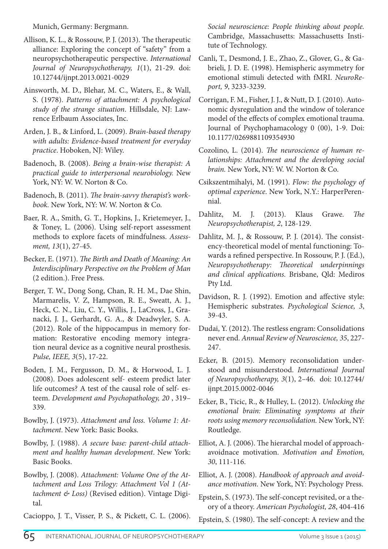Munich, Germany: Bergmann.

- Allison, K. L., & Rossouw, P. J. (2013). The therapeutic alliance: Exploring the concept of "safety" from a neuropsychotherapeutic perspective. *International Journal of Neuropsychotherapy, 1*(1), 21-29. doi: 10.12744/ijnpt.2013.0021-0029
- Ainsworth, M. D., Blehar, M. C., Waters, E., & Wall, S. (1978). *Patterns of attachment: A psychological study of the strange situation*. Hillsdale, NJ: Lawrence Erlbaum Associates, Inc.
- Arden, J. B., & Linford, L. (2009). *Brain-based therapy with adults: Evidence-based treatment for everyday practice*. Hoboken, NJ: Wiley.
- Badenoch, B. (2008). *Being a brain-wise therapist: A practical guide to interpersonal neurobiology.* New York, NY: W. W. Norton & Co.
- Badenoch, B. (2011). *The brain-savvy therapist's workbook.* New York, NY: W. W. Norton & Co.
- Baer, R. A., Smith, G. T., Hopkins, J., Krietemeyer, J., & Toney, L. (2006). Using self-report assessment methods to explore facets of mindfulness. *Assessment, 13*(1), 27-45.
- Becker, E. (1971). *The Birth and Death of Meaning: An Interdisciplinary Perspective on the Problem of Man*  (2 edition.). Free Press.
- Berger, T. W., Dong Song, Chan, R. H. M., Dae Shin, Marmarelis, V. Z, Hampson, R. E., Sweatt, A. J., Heck, C. N., Liu, C. Y., Willis, J., LaCross, J., Granacki, J. J., Gerhardt, G. A., & Deadwyler, S. A. (2012). Role of the hippocampus in memory formation: Restorative encoding memory integration neural device as a cognitive neural prosthesis. *Pulse, IEEE, 3*(5), 17-22.
- Boden, J. M., Fergusson, D. M., & Horwood, L. J. (2008). Does adolescent self- esteem predict later life outcomes? A test of the causal role of self- esteem. *Development and Psychopathology, 20* , 319– 339.
- Bowlby, J. (1973). *Attachment and loss. Volume 1: Attachment*. New York: Basic Books.
- Bowlby, J. (1988). *A secure base: parent-child attachment and healthy human development*. New York: Basic Books.
- Bowlby, J. (2008). *Attachment: Volume One of the Attachment and Loss Trilogy: Attachment Vol 1 (Attachment & Loss)* (Revised edition). Vintage Digital.

Cacioppo, J. T., Visser, P. S., & Pickett, C. L. (2006).

*Social neuroscience: People thinking about people.* Cambridge, Massachusetts: Massachusetts Institute of Technology.

- Canli, T., Desmond, J. E., Zhao, Z., Glover, G., & Gabrieli, J. D. E. (1998). Hemispheric asymmetry for emotional stimuli detected with fMRI. *NeuroReport, 9*, 3233-3239.
- Corrigan, F. M., Fisher, J. J., & Nutt, D. J. (2010). Autonomic dysregulation and the window of tolerance model of the effects of complex emotional trauma. Journal of Psychophamacology 0 (00), 1-9. Doi: 10.1177/0269881109354930
- Cozolino, L. (2014). *The neuroscience of human relationships: Attachment and the developing social brain.* New York, NY: W. W. Norton & Co.
- Csikszentmihalyi, M. (1991). *Flow: the psychology of optimal experience*. New York, N.Y.: HarperPerennial.
- Dahlitz, M. J. (2013). Klaus Grawe. *The Neuropsychotherapist, 2*, 128-129.
- Dahlitz, M. J., & Rossouw, P. J. (2014). The consistency-theoretical model of mental functioning: Towards a refined perspective. In Rossouw, P. J. (Ed.), *Neuropsychotherapy: Theoretical underpinnings and clinical applications.* Brisbane, Qld: Mediros Pty Ltd.
- Davidson, R. J. (1992). Emotion and affective style: Hemispheric substrates. *Psychological Science, 3*, 39-43.
- Dudai, Y. (2012). The restless engram: Consolidations never end. *Annual Review of Neuroscience, 35*, 227- 247.
- Ecker, B. (2015). Memory reconsolidation understood and misunderstood. *International Journal of Neuropsychotherapy, 3*(1), 2–46. doi: 10.12744/ ijnpt.2015.0002-0046
- Ecker, B., Ticic, R., & Hulley, L. (2012). *Unlocking the emotional brain: Eliminating symptoms at their roots using memory reconsolidation.* New York, NY: Routledge.
- Elliot, A. J. (2006). The hierarchal model of approachavoidnace motivation. *Motivation and Emotion, 30*, 111-116.
- Elliot, A. J. (2008). *Handbook of approach and avoidance motivation.* New York, NY: Psychology Press.

Epstein, S. (1973). The self-concept revisited, or a theory of a theory. *American Psychologist, 28*, 404-416

Epstein, S. (1980). The self-concept: A review and the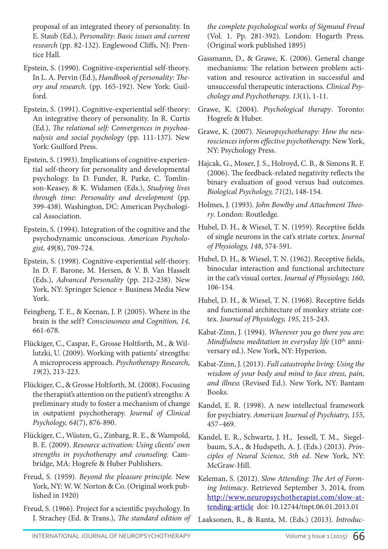proposal of an integrated theory of personality. In E. Staub (Ed.), *Personality: Basic issues and current research* (pp. 82-132). Englewood Cliffs, NJ: Prentice Hall.

- Epstein, S. (1990). Cognitive-experiential self-theory. In L. A. Pervin (Ed.), *Handbook of personality: Theory and research*. (pp. 165-192). New York: Guilford.
- Epstein, S. (1991). Cognitive-experiential self-theory: An integrative theory of personality. In R. Curtis (Ed.), *The relational self: Convergences in psychoanalysis and social psycholog*y (pp. 111-137). New York: Guilford Press.
- Epstein, S. (1993). Implications of cognitive-experiential self-theory for personality and developmental psychology. In D. Funder, R. Parke, C. Tomlinson-Keasey, & K. Widamen (Eds.), *Studying lives through time: Personality and development* (pp. 399-438). Washington, DC: American Psychological Association.
- Epstein, S. (1994). Integration of the cognitive and the psychodynamic unconscious. *American Psychologist, 49*(8), 709-724.
- Epstein, S. (1998). Cognitive-experiential self-theory. In D. F. Barone, M. Hersen, & V. B. Van Hasselt (Eds.), *Advanced Personality* (pp. 212-238). New York, NY: Springer Science + Business Media New York.
- Feingberg, T. E., & Keenan, J. P. (2005). Where in the brain is the self? *Consciousness and Cognition, 14*, 661-678.
- Flückiger, C., Caspar, F., Grosse Holtforth, M., & Willutzki, U. (2009). Working with patients' strengths: A microprocess approach. *Psychotherapy Research, 19*(2), 213-223.
- Flückiger, C., & Grosse Holtforth, M. (2008). Focusing the therapist's attention on the patient's strengths: A preliminary study to foster a mechanism of change in outpatient psychotherapy. *Journal of Clinical Psychology, 64*(7), 876-890.
- Flückiger, C., Wüsten, G., Zinbarg, R. E., & Wampold, B. E. (2009). *Resource activation: Using clients' own strengths in psychotherapy and counseling.* Cambridge, MA: Hogrefe & Huber Publishers.
- Freud, S. (1959). *Beyond the pleasure principle.* New York, NY: W. W. Norton & Co. (Original work published in 1920)
- Freud, S. (1966). Project for a scientific psychology. In J. Strachey (Ed. & Trans.), *The standard edition of*

*the complete psychological works of Sigmund Freud* (Vol. 1. Pp. 281-392). London: Hogarth Press. (Original work published 1895)

- Gassmann, D., & Grawe, K. (2006). General change mechanisms: The relation between problem activation and resource activation in successful and unsuccessful therapeutic interactions. *Clinical Psychology and Psychotherapy, 13*(1), 1-11.
- Grawe, K. (2004). *Psychological therapy*. Toronto: Hogrefe & Huber.
- Grawe, K. (2007). *Neuropsychotherapy: How the neurosciences inform effective psychotherapy.* New York, NY: Psychology Press.
- Hajcak, G., Moser, J. S., Holroyd, C. B., & Simons R. F. (2006). The feedback-related negativity reflects the binary evaluation of good versus bad outcomes. *Biological Psychology, 71*(2), 148-154.
- Holmes, J. (1993). *John Bowlby and Attachment Theory*. London: Routledge.
- Hubel, D. H., & Wiesel, T. N. (1959). Receptive fields of single neurons in the cat's striate cortex. *Journal of Physiology, 148*, 574-591.
- Hubel, D. H., & Wiesel, T. N. (1962). Receptive fields, binocular interaction and functional architecture in the cat's visual cortex. *Journal of Physiology, 160*, 106-154.
- Hubel, D. H., & Wiesel, T. N. (1968). Receptive fields and functional architecture of monkey striate cortex. *Journal of Physiology, 195*, 215-243.
- Kabat-Zinn, J. (1994). *Wherever you go there you are: Mindfulness meditation in everyday life* (10<sup>th</sup> anniversary ed.). New York, NY: Hyperion.
- Kabat-Zinn, J. (2013). *Full catastrophe living: Using the wisdom of your body and mind to face stress, pain, and illness* (Revised Ed.). New York, NY: Bantam Books.
- Kandel, E. R. (1998). A new intellectual framework for psychiatry. *American Journal of Psychiatry, 155*, 457–469.
- Kandel, E. R., Schwartz, J. H., Jessell, T. M., Siegelbaum, S.A., & Hudspeth, A. J. (Eds.) (2013). *Principles of Neural Science*, *5th ed*. New York, NY: McGraw-Hill.
- Keleman, S. (2012). *Slow Attending: The Art of Forming Intimacy*. Retrieved September 3, 2014, from http://www.neuropsychotherapist.com/slow-attending-article doi: 10.12744/tnpt.06.01.2013.01
- Laaksonen, R., & Ranta, M. (Eds.) (2013). *Introduc-*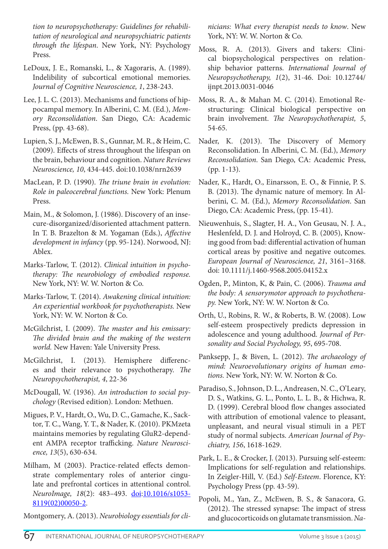*tion to neuropsychotherapy: Guidelines for rehabilitation of neurological and neuropsychiatric patients through the lifespan*. New York, NY: Psychology Press.

- LeDoux, J. E., Romanski, L., & Xagoraris, A. (1989). Indelibility of subcortical emotional memories. *Journal of Cognitive Neuroscience, 1*, 238-243.
- Lee, J. L. C. (2013). Mechanisms and functions of hippocampal memory. In Alberini, C. M. (Ed.), *Memory Reconsolidation*. San Diego, CA: Academic Press, (pp. 43-68).
- Lupien, S. J., McEwen, B. S., Gunnar, M. R., & Heim, C. (2009). Effects of stress throughout the lifespan on the brain, behaviour and cognition. *Nature Reviews Neuroscience, 10*, 434-445. doi:10.1038/nrn2639
- MacLean, P. D. (1990). *The triune brain in evolution: Role in paleocerebral functions.* New York: Plenum Press.
- Main, M., & Solomon, J. (1986). Discovery of an insecure-disorganized/disoriented attachment pattern. In T. B. Brazelton & M. Yogaman (Eds.), *Affective development in infancy* (pp. 95-124). Norwood, NJ: Ablex.
- Marks-Tarlow, T. (2012). *Clinical intuition in psychotherapy: The neurobiology of embodied response.*  New York, NY: W. W. Norton & Co.
- Marks-Tarlow, T. (2014). *Awakening clinical intuition: An experiential workbook for psychotherapists.* New York, NY: W. W. Norton & Co.
- McGilchrist, I. (2009). *The master and his emissary: The divided brain and the making of the western world.* New Haven: Yale University Press.
- McGilchrist, I. (2013). Hemisphere differences and their relevance to psychotherapy. *The Neuropsychotherapist, 4*, 22-36
- McDougall, W. (1936). *An introduction to social psychology* (Revised edition)*.* London: Methuen.
- Migues, P. V., Hardt, O., Wu, D. C., Gamache, K., Sacktor, T. C., Wang, Y. T., & Nader, K. (2010). PKMzeta maintains memories by regulating GluR2-dependent AMPA receptor trafficking. *Nature Neuroscience, 13*(5), 630-634.
- Milham, M (2003). Practice-related effects demonstrate complementary roles of anterior cingulate and prefrontal cortices in attentional control. *NeuroImage, 18*(2): 483–493. doi:10.1016/s1053- 8119(02)00050-2.

Montgomery, A. (2013). *Neurobiology essentials for cli-*

*nicians: What every therapist needs to know*. New York, NY: W. W. Norton & Co.

- Moss, R. A. (2013). Givers and takers: Clinical biopsychological perspectives on relationship behavior patterns. *International Journal of Neuropsychotherapy, 1*(2), 31-46. Doi: 10.12744/ ijnpt.2013.0031-0046
- Moss, R. A., & Mahan M. C. (2014). Emotional Restructuring: Clinical biological perspective on brain involvement. *The Neuropsychotherapist, 5*, 54-65.
- Nader, K. (2013). The Discovery of Memory Reconsolidation. In Alberini, C. M. (Ed.), *Memory Reconsolidation*. San Diego, CA: Academic Press, (pp. 1-13).
- Nader, K., Hardt, O., Einarsson, E. O., & Finnie, P. S. B. (2013). The dynamic nature of memory. In Alberini, C. M. (Ed.), *Memory Reconsolidation*. San Diego, CA: Academic Press, (pp. 15-41).
- Nieuwenhuis, S., Slagter, H. A., Von Geusau, N. J. A., Heslenfeld, D. J. and Holroyd, C. B. (2005), Knowing good from bad: differential activation of human cortical areas by positive and negative outcomes. *European Journal of Neuroscience, 21*, 3161–3168. doi: 10.1111/j.1460-9568.2005.04152.x
- Ogden, P., Minton, K, & Pain, C. (2006). *Trauma and the body: A sensorymotor approach to psychotherapy.* New York, NY: W. W. Norton & Co.
- Orth, U., Robins, R. W., & Roberts, B. W. (2008). Low self-esteem prospectively predicts depression in adolescence and young adulthood. *Journal of Personality and Social Psychology, 95*, 695-708.
- Panksepp, J., & Biven, L. (2012). *The archaeology of mind: Neuroevolutionary origins of human emotions.* New York, NY: W. W. Norton & Co.
- Paradiso, S., Johnson, D. L., Andreasen, N. C., O'Leary, D. S., Watkins, G. L., Ponto, L. L. B., & Hichwa, R. D. (1999). Cerebral blood flow changes associated with attribution of emotional valence to pleasant, unpleasant, and neural visual stimuli in a PET study of normal subjects. *American Journal of Psychiatry, 156*, 1618-1629.
- Park, L. E., & Crocker, J. (2013). Pursuing self-esteem: Implications for self-regulation and relationships. In Zeigler-Hill, V. (Ed.) *Self-Esteem*. Florence, KY: Psychology Press (pp. 43-59).
- Popoli, M., Yan, Z., McEwen, B. S., & Sanacora, G. (2012). The stressed synapse: The impact of stress and glucocorticoids on glutamate transmission. *Na-*

67 INTERNATIONAL JOURNAL OF NEUROPSYCHOTHERAPY VOLUME 3 Issue 1 (2015)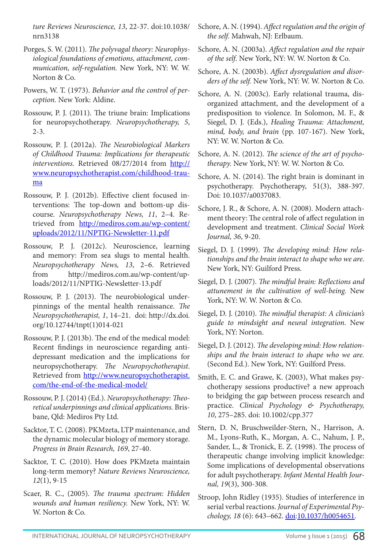*ture Reviews Neuroscience, 13*, 22-37. doi:10.1038/ nrn3138

- Porges, S. W. (2011). *The polyvagal theory: Neurophysiological foundations of emotions, attachment, communication, self-regulation.* New York, NY: W. W. Norton & Co.
- Powers, W. T. (1973). *Behavior and the control of perception.* New York: Aldine.
- Rossouw, P. J. (2011). The triune brain: Implications for neuropsychotherapy. *Neuropsychotherapy, 5*, 2-3.
- Rossouw, P. J. (2012a). *The Neurobiological Markers of Childhood Trauma: Implications for therapeutic interventions*. Retrieved 08/27/2014 from http:// www.neuropsychotherapist.com/childhood-trauma
- Rossouw, P. J. (2012b). Effective client focused interventions: The top-down and bottom-up discourse. *Neuropsychotherapy News, 11*, 2–4. Retrieved from http://mediros.com.au/wp-content/ uploads/2012/11/NPTIG-Newsletter-11.pdf
- Rossouw, P. J. (2012c). Neuroscience, learning and memory: From sea slugs to mental health. *Neuropsychotherapy News, 13*, 2–6. Retrieved from http://mediros.com.au/wp-content/uploads/2012/11/NPTIG-Newsletter-13.pdf
- Rossouw, P. J. (2013). The neurobiological underpinnings of the mental health renaissance. *The Neuropsychotherapist, 1*, 14–21. doi: http://dx.doi. org/10.12744/tnpt(1)014-021
- Rossouw, P. J. (2013b). The end of the medical model: Recent findings in neuroscience regarding antidepressant medication and the implications for neuropsychotherapy. *The Neuropsychotherapist*. Retrieved from http://www.neuropsychotherapist. com/the-end-of-the-medical-model/
- Rossouw, P. J. (2014) (Ed.). *Neuropsychotherapy: Theoretical underpinnings and clinical applications.* Brisbane, Qld: Mediros Pty Ltd.
- Sacktor, T. C. (2008). PKMzeta, LTP maintenance, and the dynamic molecular biology of memory storage. *Progress in Brain Research, 169*, 27-40.
- Sacktor, T. C. (2010). How does PKMzeta maintain long-term memory? *Nature Reviews Neuroscience, 12*(1), 9-15
- Scaer, R. C., (2005). *The trauma spectrum: Hidden wounds and human resiliency.* New York, NY: W. W. Norton & Co.
- Schore, A. N. (1994). *Affect regulation and the origin of the self.* Mahwah, NJ: Erlbaum.
- Schore, A. N. (2003a). *Affect regulation and the repair of the self*. New York, NY: W. W. Norton & Co.
- Schore, A. N. (2003b). *Affect dysregulation and disorders of the self.* New York, NY: W. W. Norton & Co.
- Schore, A. N. (2003c). Early relational trauma, disorganized attachment, and the development of a predisposition to violence. In Solomon, M. F., & Siegel, D. J. (Eds.), *Healing Trauma: Attachment, mind, body, and brain* (pp. 107-167). New York, NY: W. W. Norton & Co.
- Schore, A. N. (2012). *The science of the art of psychotherapy.* New York, NY: W. W. Norton & Co.
- Schore, A. N. (2014). The right brain is dominant in psychotherapy. Psychotherapy, 51(3), 388-397. Doi: 10.1037/a0037083.
- Schore, J. R., & Schore, A. N. (2008). Modern attachment theory: The central role of affect regulation in development and treatment. *Clinical Social Work Journal, 36*, 9-20.
- Siegel, D. J. (1999). *The developing mind: How relationships and the brain interact to shape who we are*. New York, NY: Guilford Press.
- Siegel, D. J. (2007). *The mindful brain: Reflections and attunement in the cultivation of well-being.* New York, NY: W. W. Norton & Co.
- Siegel, D. J. (2010). *The mindful therapist: A clinician's guide to mindsight and neural integration*. New York, NY: Norton.
- Siegel, D. J. (2012). *The developing mind: How relationships and the brain interact to shape who we are.*  (Second Ed.). New York, NY: Guilford Press.
- Smith, E. C. and Grawe, K. (2003), What makes psychotherapy sessions productive? a new approach to bridging the gap between process research and practice. *Clinical Psychology & Psychotherapy, 10*, 275–285. doi: 10.1002/cpp.377
- Stern, D. N, Bruschweilder-Stern, N., Harrison, A. M., Lyons-Ruth, K., Morgan, A. C., Nahum, J. P., Sander, L., & Tronick, E. Z. (1998). The process of therapeutic change involving implicit knowledge: Some implications of developmental observations for adult psychotherapy. *Infant Mental Health Journal, 19*(3), 300-308.
- Stroop, John Ridley (1935). Studies of interference in serial verbal reactions. *Journal of Experimental Psychology, 18* (6): 643–662. doi:10.1037/h0054651.